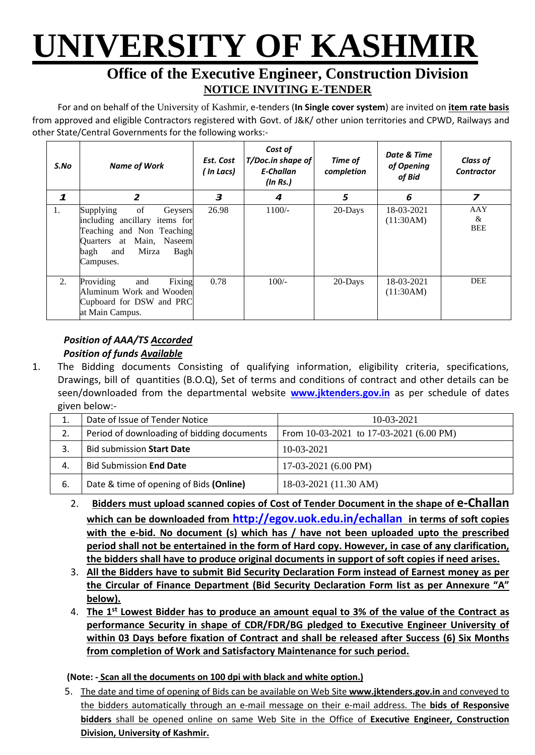# **UNIVERSITY OF KASHMIR**

### **Office of the Executive Engineer, Construction Division NOTICE INVITING E-TENDER**

For and on behalf of the University of Kashmir, e-tenders (**In Single cover system**) are invited on **item rate basis** from approved and eligible Contractors registered with Govt. of J&K/ other union territories and CPWD, Railways and other State/Central Governments for the following works:-

| S.No         | <b>Name of Work</b>                                                                                                                                               | Est. Cost<br>( In Lacs) | Cost of<br>T/Doc.in shape of<br>E-Challan<br>(ln Rs.) | Time of<br>completion | Date & Time<br>of Opening<br>of Bid | <b>Class of</b><br><b>Contractor</b> |
|--------------|-------------------------------------------------------------------------------------------------------------------------------------------------------------------|-------------------------|-------------------------------------------------------|-----------------------|-------------------------------------|--------------------------------------|
| $\mathbf{1}$ | $\overline{2}$                                                                                                                                                    | 3                       | 4                                                     | 5                     | 6                                   | 7                                    |
| 1.           | of<br>Supplying<br>Geysers<br>including ancillary items for<br>Teaching and Non Teaching<br>Quarters at Main, Naseem<br>Mirza<br>bagh<br>Bagh<br>and<br>Campuses. | 26.98                   | $1100/-$                                              | 20-Days               | 18-03-2021<br>(11:30AM)             | AAY<br>&<br><b>BEE</b>               |
| 2.           | Providing<br>Fixing<br>and<br>Aluminum Work and Wooden<br>Cupboard for DSW and PRC<br>at Main Campus.                                                             | 0.78                    | $100/-$                                               | 20-Days               | 18-03-2021<br>(11:30AM)             | <b>DEE</b>                           |

#### *Position of AAA/TS Accorded Position of funds Available*

1. The Bidding documents Consisting of qualifying information, eligibility criteria, specifications, Drawings, bill of quantities (B.O.Q), Set of terms and conditions of contract and other details can be seen/downloaded from the departmental website **[www.jktenders.gov.in](http://www.pmgsytendersjk.gov.in/)** as per schedule of dates given below:-

| 1. | Date of Issue of Tender Notice             | $10-03-2021$                                |  |  |
|----|--------------------------------------------|---------------------------------------------|--|--|
| 2. | Period of downloading of bidding documents | From $10-03-2021$ to $17-03-2021$ (6.00 PM) |  |  |
|    | <b>Bid submission Start Date</b>           | $10-03-2021$                                |  |  |
| 4. | <b>Bid Submission End Date</b>             | $17-03-2021(6.00 \text{ PM})$               |  |  |
| 6. | Date & time of opening of Bids (Online)    | 18-03-2021 (11.30 AM)                       |  |  |

- 2. **Bidders must upload scanned copies of Cost of Tender Document in the shape of e-Challan which can be downloaded from <http://egov.uok.edu.in/echallan> in terms of soft copies with the e-bid. No document (s) which has / have not been uploaded upto the prescribed period shall not be entertained in the form of Hard copy. However, in case of any clarification, the bidders shall have to produce original documents in support of soft copies if need arises.**
- 3. **All the Bidders have to submit Bid Security Declaration Form instead of Earnest money as per the Circular of Finance Department (Bid Security Declaration Form Iist as per Annexure "A" below).**
- 4. **The 1st Lowest Bidder has to produce an amount equal to 3% of the value of the Contract as performance Security in shape of CDR/FDR/BG pledged to Executive Engineer University of within 03 Days before fixation of Contract and shall be released after Success (6) Six Months from completion of Work and Satisfactory Maintenance for such period.**

#### **(Note: - Scan all the documents on 100 dpi with black and white option.)**

5. The date and time of opening of Bids can be available on Web Site **[www.jktenders.gov.in](http://www.pmgsytendersjk.gov.in/)** and conveyed to the bidders automatically through an e-mail message on their e-mail address. The **bids of Responsive bidders** shall be opened online on same Web Site in the Office of **Executive Engineer, Construction Division, University of Kashmir.**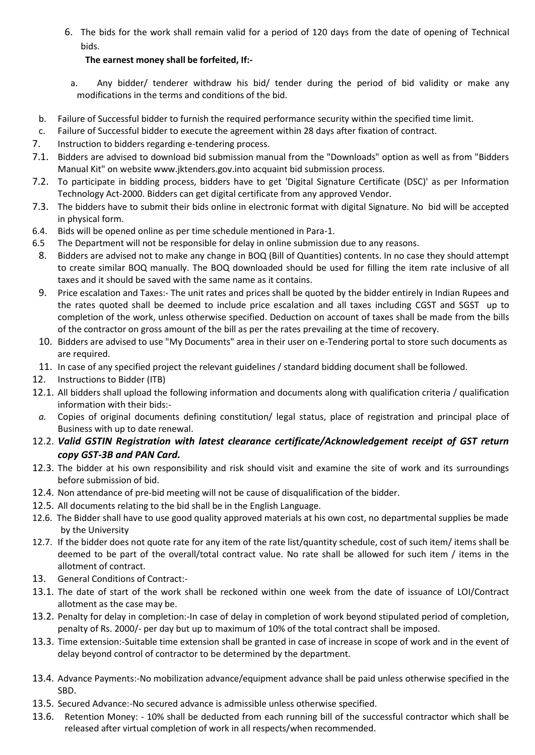6. The bids for the work shall remain valid for a period of 120 days from the date of opening of Technical bids.

#### **The earnest money shall be forfeited, If:-**

- a. Any bidder/ tenderer withdraw his bid/ tender during the period of bid validity or make any modifications in the terms and conditions of the bid.
- b. Failure of Successful bidder to furnish the required performance security within the specified time limit.
- c. Failure of Successful bidder to execute the agreement within 28 days after fixation of contract.
- 7. Instruction to bidders regarding e-tendering process.
- 7.1. Bidders are advised to download bid submission manual from the "Downloads" option as well as from "Bidders Manual Kit" on website [www.jktenders.gov.into](http://www.pmgsytendersjk.gov.into/) acquaint bid submission process.
- 7.2. To participate in bidding process, bidders have to get 'Digital Signature Certificate (DSC)' as per Information Technology Act-2000. Bidders can get digital certificate from any approved Vendor.
- 7.3. The bidders have to submit their bids online in electronic format with digital Signature. No bid will be accepted in physical form.
- 6.4. Bids will be opened online as per time schedule mentioned in Para-1.
- 6.5 The Department will not be responsible for delay in online submission due to any reasons.
- 8. Bidders are advised not to make any change in BOQ (Bill of Quantities) contents. In no case they should attempt to create similar BOQ manually. The BOQ downloaded should be used for filling the item rate inclusive of all taxes and it should be saved with the same name as it contains.
- 9. Price escalation and Taxes:- The unit rates and prices shall be quoted by the bidder entirely in Indian Rupees and the rates quoted shall be deemed to include price escalation and all taxes including CGST and SGST up to completion of the work, unless otherwise specified. Deduction on account of taxes shall be made from the bills of the contractor on gross amount of the bill as per the rates prevailing at the time of recovery.
- 10. Bidders are advised to use "My Documents" area in their user on e-Tendering portal to store such documents as are required.
- 11. In case of any specified project the relevant guidelines / standard bidding document shall be followed.
- 12. Instructions to Bidder (ITB)
- 12.1. All bidders shall upload the following information and documents along with qualification criteria / qualification information with their bids:-
- *a.* Copies of original documents defining constitution/ legal status, place of registration and principal place of Business with up to date renewal.
- 12.2. *Valid GSTIN Registration with latest clearance certificate/Acknowledgement receipt of GST return copy GST-3B and PAN Card.*
- 12.3. The bidder at his own responsibility and risk should visit and examine the site of work and its surroundings before submission of bid.
- 12.4. Non attendance of pre-bid meeting will not be cause of disqualification of the bidder.
- 12.5. All documents relating to the bid shall be in the English Language.
- 12.6. The Bidder shall have to use good quality approved materials at his own cost, no departmental supplies be made by the University
- 12.7. If the bidder does not quote rate for any item of the rate list/quantity schedule, cost of such item/ items shall be deemed to be part of the overall/total contract value. No rate shall be allowed for such item / items in the allotment of contract.
- 13. General Conditions of Contract:-
- 13.1. The date of start of the work shall be reckoned within one week from the date of issuance of LOI/Contract allotment as the case may be.
- 13.2. Penalty for delay in completion:-In case of delay in completion of work beyond stipulated period of completion, penalty of Rs. 2000/- per day but up to maximum of 10% of the total contract shall be imposed.
- 13.3. Time extension:-Suitable time extension shall be granted in case of increase in scope of work and in the event of delay beyond control of contractor to be determined by the department.
- 13.4. Advance Payments:-No mobilization advance/equipment advance shall be paid unless otherwise specified in the SBD.
- 13.5. Secured Advance:-No secured advance is admissible unless otherwise specified.
- 13.6. Retention Money: 10% shall be deducted from each running bill of the successful contractor which shall be released after virtual completion of work in all respects/when recommended.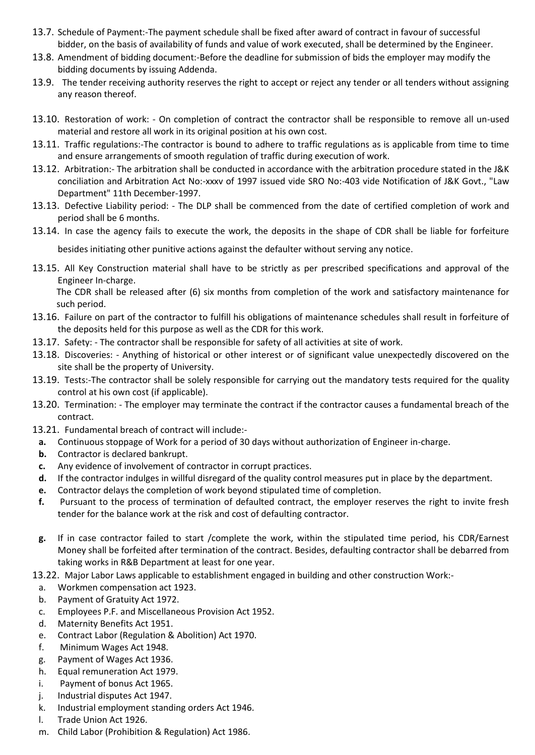- 13.7. Schedule of Payment:-The payment schedule shall be fixed after award of contract in favour of successful bidder, on the basis of availability of funds and value of work executed, shall be determined by the Engineer.
- 13.8. Amendment of bidding document:-Before the deadline for submission of bids the employer may modify the bidding documents by issuing Addenda.
- 13.9. The tender receiving authority reserves the right to accept or reject any tender or all tenders without assigning any reason thereof.
- 13.10. Restoration of work: On completion of contract the contractor shall be responsible to remove all un-used material and restore all work in its original position at his own cost.
- 13.11. Traffic regulations:-The contractor is bound to adhere to traffic regulations as is applicable from time to time and ensure arrangements of smooth regulation of traffic during execution of work.
- 13.12. Arbitration:- The arbitration shall be conducted in accordance with the arbitration procedure stated in the J&K conciliation and Arbitration Act No:-xxxv of 1997 issued vide SRO No:-403 vide Notification of J&K Govt., "Law Department" 11th December-1997.
- 13.13. Defective Liability period: The DLP shall be commenced from the date of certified completion of work and period shall be 6 months.
- 13.14. In case the agency fails to execute the work, the deposits in the shape of CDR shall be liable for forfeiture

besides initiating other punitive actions against the defaulter without serving any notice.

13.15. All Key Construction material shall have to be strictly as per prescribed specifications and approval of the Engineer In-charge.

The CDR shall be released after (6) six months from completion of the work and satisfactory maintenance for such period.

- 13.16. Failure on part of the contractor to fulfill his obligations of maintenance schedules shall result in forfeiture of the deposits held for this purpose as well as the CDR for this work.
- 13.17. Safety: The contractor shall be responsible for safety of all activities at site of work.
- 13.18. Discoveries: Anything of historical or other interest or of significant value unexpectedly discovered on the site shall be the property of University.
- 13.19. Tests:-The contractor shall be solely responsible for carrying out the mandatory tests required for the quality control at his own cost (if applicable).
- 13.20. Termination: The employer may terminate the contract if the contractor causes a fundamental breach of the contract.
- 13.21. Fundamental breach of contract will include:
	- **a.** Continuous stoppage of Work for a period of 30 days without authorization of Engineer in-charge.
	- **b.** Contractor is declared bankrupt.
	- **c.** Any evidence of involvement of contractor in corrupt practices.
- **d.** If the contractor indulges in willful disregard of the quality control measures put in place by the department.
- **e.** Contractor delays the completion of work beyond stipulated time of completion.
- **f.** Pursuant to the process of termination of defaulted contract, the employer reserves the right to invite fresh tender for the balance work at the risk and cost of defaulting contractor.
- **g.** If in case contractor failed to start /complete the work, within the stipulated time period, his CDR/Earnest Money shall be forfeited after termination of the contract. Besides, defaulting contractor shall be debarred from taking works in R&B Department at least for one year.

13.22. Major Labor Laws applicable to establishment engaged in building and other construction Work:-

- a. Workmen compensation act 1923.
- b. Payment of Gratuity Act 1972.
- c. Employees P.F. and Miscellaneous Provision Act 1952.
- d. Maternity Benefits Act 1951.
- e. Contract Labor (Regulation & Abolition) Act 1970.
- f. Minimum Wages Act 1948.
- g. Payment of Wages Act 1936.
- h. Equal remuneration Act 1979.
- i. Payment of bonus Act 1965.
- j. Industrial disputes Act 1947.
- k. Industrial employment standing orders Act 1946.
- l. Trade Union Act 1926.
- m. Child Labor (Prohibition & Regulation) Act 1986.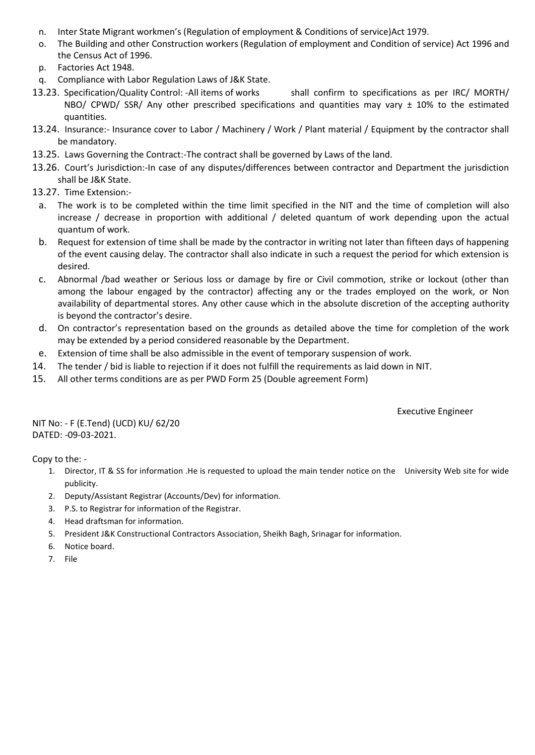- n. Inter State Migrant workmen's (Regulation of employment & Conditions of service)Act 1979.
- o. The Building and other Construction workers (Regulation of employment and Condition of service) Act 1996 and the Census Act of 1996.
- p. Factories Act 1948.
- q. Compliance with Labor Regulation Laws of J&K State.
- 13.23. Specification/Quality Control: -All items of works shall confirm to specifications as per IRC/ MORTH/ NBO/ CPWD/ SSR/ Any other prescribed specifications and quantities may vary  $\pm$  10% to the estimated quantities.
- 13.24. Insurance:- Insurance cover to Labor / Machinery / Work / Plant material / Equipment by the contractor shall be mandatory.
- 13.25. Laws Governing the Contract:-The contract shall be governed by Laws of the land.
- 13.26. Court's Jurisdiction:-In case of any disputes/differences between contractor and Department the jurisdiction shall be J&K State.
- 13.27. Time Extension:
	- a. The work is to be completed within the time limit specified in the NIT and the time of completion will also increase / decrease in proportion with additional / deleted quantum of work depending upon the actual quantum of work.
	- b. Request for extension of time shall be made by the contractor in writing not later than fifteen days of happening of the event causing delay. The contractor shall also indicate in such a request the period for which extension is desired.
	- c. Abnormal /bad weather or Serious loss or damage by fire or Civil commotion, strike or lockout (other than among the labour engaged by the contractor) affecting any or the trades employed on the work, or Non availability of departmental stores. Any other cause which in the absolute discretion of the accepting authority is beyond the contractor's desire.
	- d. On contractor's representation based on the grounds as detailed above the time for completion of the work may be extended by a period considered reasonable by the Department.
- e. Extension of time shall be also admissible in the event of temporary suspension of work.
- 14. The tender / bid is liable to rejection if it does not fulfill the requirements as laid down in NIT.
- 15. All other terms conditions are as per PWD Form 25 (Double agreement Form)

Executive Engineer

NIT No: - F (E.Tend) (UCD) KU/ 62/20 DATED: -09-03-2021.

Copy to the: -

- 1. Director, IT & SS for information .He is requested to upload the main tender notice on the University Web site for wide publicity.
- 2. Deputy/Assistant Registrar (Accounts/Dev) for information.
- 3. P.S. to Registrar for information of the Registrar.
- 4. Head draftsman for information.
- 5. President J&K Constructional Contractors Association, Sheikh Bagh, Srinagar for information.
- 6. Notice board.
- 7. File